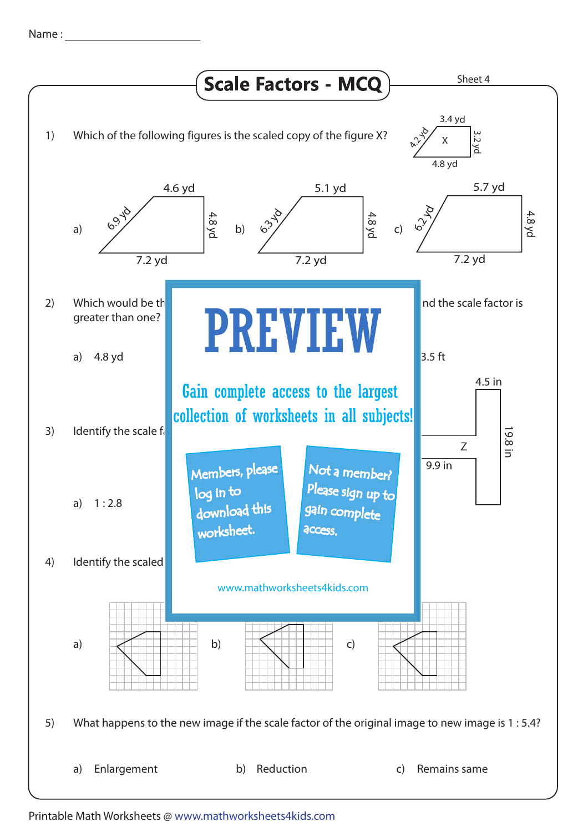